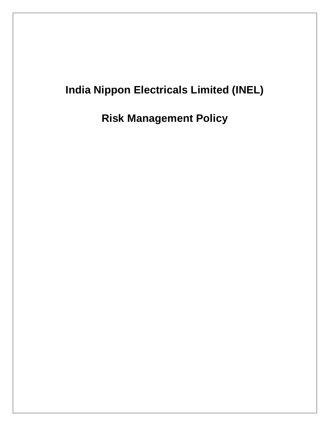# **India Nippon Electricals Limited (INEL)**

**Risk Management Policy**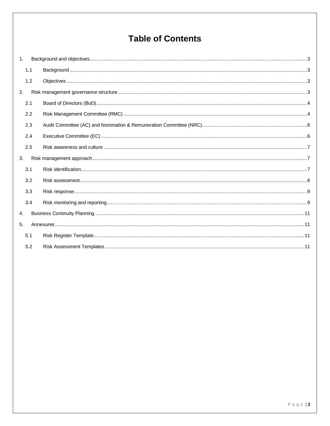## **Table of Contents**

| 1.             |     |  |
|----------------|-----|--|
|                | 1.1 |  |
|                | 1.2 |  |
| 2.             |     |  |
|                | 2.1 |  |
|                | 2.2 |  |
|                | 2.3 |  |
|                | 2.4 |  |
|                | 2.5 |  |
| 3.             |     |  |
|                | 3.1 |  |
|                | 3.2 |  |
|                | 3.3 |  |
|                | 3.4 |  |
| 4.             |     |  |
| 5 <sub>1</sub> |     |  |
|                | 5.1 |  |
|                | 5.2 |  |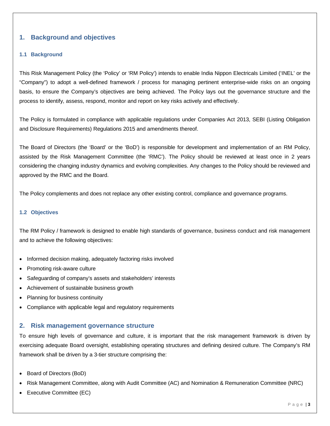## <span id="page-2-0"></span>**1. Background and objectives**

## <span id="page-2-1"></span>**1.1 Background**

This Risk Management Policy (the 'Policy' or 'RM Policy') intends to enable India Nippon Electricals Limited ('INEL' or the "Company") to adopt a well-defined framework / process for managing pertinent enterprise-wide risks on an ongoing basis, to ensure the Company's objectives are being achieved. The Policy lays out the governance structure and the process to identify, assess, respond, monitor and report on key risks actively and effectively.

The Policy is formulated in compliance with applicable regulations under Companies Act 2013, SEBI (Listing Obligation and Disclosure Requirements) Regulations 2015 and amendments thereof.

The Board of Directors (the 'Board' or the 'BoD') is responsible for development and implementation of an RM Policy, assisted by the Risk Management Committee (the 'RMC'). The Policy should be reviewed at least once in 2 years considering the changing industry dynamics and evolving complexities. Any changes to the Policy should be reviewed and approved by the RMC and the Board.

The Policy complements and does not replace any other existing control, compliance and governance programs.

## <span id="page-2-2"></span>**1.2 Objectives**

The RM Policy / framework is designed to enable high standards of governance, business conduct and risk management and to achieve the following objectives:

- Informed decision making, adequately factoring risks involved
- Promoting risk-aware culture
- Safeguarding of company's assets and stakeholders' interests
- Achievement of sustainable business growth
- Planning for business continuity
- Compliance with applicable legal and regulatory requirements

## <span id="page-2-3"></span>**2. Risk management governance structure**

To ensure high levels of governance and culture, it is important that the risk management framework is driven by exercising adequate Board oversight, establishing operating structures and defining desired culture. The Company's RM framework shall be driven by a 3-tier structure comprising the:

- Board of Directors (BoD)
- Risk Management Committee, along with Audit Committee (AC) and Nomination & Remuneration Committee (NRC)
- Executive Committee (EC)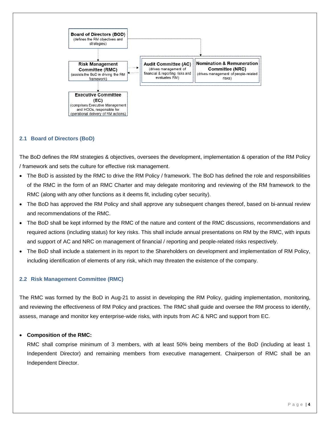

## <span id="page-3-0"></span>**2.1 Board of Directors (BoD)**

The BoD defines the RM strategies & objectives, oversees the development, implementation & operation of the RM Policy / framework and sets the culture for effective risk management.

- The BoD is assisted by the RMC to drive the RM Policy / framework. The BoD has defined the role and responsibilities of the RMC in the form of an RMC Charter and may delegate monitoring and reviewing of the RM framework to the RMC (along with any other functions as it deems fit, including cyber security).
- The BoD has approved the RM Policy and shall approve any subsequent changes thereof, based on bi-annual review and recommendations of the RMC.
- The BoD shall be kept informed by the RMC of the nature and content of the RMC discussions, recommendations and required actions (including status) for key risks. This shall include annual presentations on RM by the RMC, with inputs and support of AC and NRC on management of financial / reporting and people-related risks respectively.
- The BoD shall include a statement in its report to the Shareholders on development and implementation of RM Policy, including identification of elements of any risk, which may threaten the existence of the company.

## <span id="page-3-1"></span>**2.2 Risk Management Committee (RMC)**

The RMC was formed by the BoD in Aug-21 to assist in developing the RM Policy, guiding implementation, monitoring, and reviewing the effectiveness of RM Policy and practices. The RMC shall guide and oversee the RM process to identify, assess, manage and monitor key enterprise-wide risks, with inputs from AC & NRC and support from EC.

## **Composition of the RMC:**

RMC shall comprise minimum of 3 members, with at least 50% being members of the BoD (including at least 1 Independent Director) and remaining members from executive management. Chairperson of RMC shall be an Independent Director.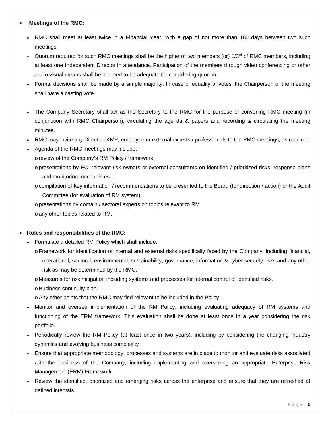## **Meetings of the RMC:**

- RMC shall meet at least twice in a Financial Year, with a gap of not more than 180 days between two such meetings.
- Quorum required for such RMC meetings shall be the higher of two members (or) 1/3<sup>rd</sup> of RMC members, including at least one Independent Director in attendance. Participation of the members through video conferencing or other audio-visual means shall be deemed to be adequate for considering quorum.
- Formal decisions shall be made by a simple majority. In case of equality of votes, the Chairperson of the meeting shall have a casting vote.
- The Company Secretary shall act as the Secretary to the RMC for the purpose of convening RMC meeting (in conjunction with RMC Chairperson), circulating the agenda & papers and recording & circulating the meeting minutes.
- RMC may invite any Director, KMP, employee or external experts / professionals to the RMC meetings, as required.
- Agenda of the RMC meetings may include:
	- o review of the Company's RM Policy / framework
	- o presentations by EC, relevant risk owners or external consultants on identified / prioritized risks, response plans and monitoring mechanisms
	- o compilation of key information / recommendations to be presented to the Board (for direction / action) or the Audit Committee (for evaluation of RM system)
	- o presentations by domain / sectoral experts on topics relevant to RM
	- o any other topics related to RM.

## **Roles and responsibilities of the RMC:**

- Formulate a detailed RM Policy which shall include:
	- o Framework for identification of internal and external risks specifically faced by the Company, including financial, operational, sectoral, environmental, sustainability, governance, information & cyber security risks and any other risk as may be determined by the RMC.
	- o Measures for risk mitigation including systems and processes for internal control of identified risks.
	- o Business continuity plan.
	- oAny other points that the RMC may find relevant to be included in the Policy
- Monitor and oversee implementation of the RM Policy, including evaluating adequacy of RM systems and functioning of the ERM framework. This evaluation shall be done at least once in a year considering the risk portfolio.
- Periodically review the RM Policy (at least once in two years), including by considering the changing industry dynamics and evolving business complexity
- Ensure that appropriate methodology, processes and systems are in place to monitor and evaluate risks associated with the business of the Company, including implementing and overseeing an appropriate Enterprise Risk Management (ERM) Framework.
- Review the identified, prioritized and emerging risks across the enterprise and ensure that they are refreshed at defined intervals.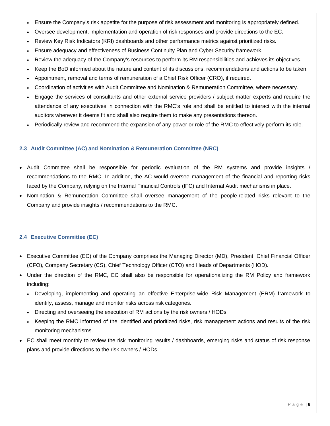- Ensure the Company's risk appetite for the purpose of risk assessment and monitoring is appropriately defined.
- Oversee development, implementation and operation of risk responses and provide directions to the EC.
- Review Key Risk Indicators (KRI) dashboards and other performance metrics against prioritized risks.
- Ensure adequacy and effectiveness of Business Continuity Plan and Cyber Security framework.
- Review the adequacy of the Company's resources to perform its RM responsibilities and achieves its objectives.
- Keep the BoD informed about the nature and content of its discussions, recommendations and actions to be taken.
- Appointment, removal and terms of remuneration of a Chief Risk Officer (CRO), if required.
- Coordination of activities with Audit Committee and Nomination & Remuneration Committee, where necessary.
- Engage the services of consultants and other external service providers / subject matter experts and require the attendance of any executives in connection with the RMC's role and shall be entitled to interact with the internal auditors wherever it deems fit and shall also require them to make any presentations thereon.
- Periodically review and recommend the expansion of any power or role of the RMC to effectively perform its role.

## <span id="page-5-0"></span>**2.3 Audit Committee (AC) and Nomination & Remuneration Committee (NRC)**

- Audit Committee shall be responsible for periodic evaluation of the RM systems and provide insights / recommendations to the RMC. In addition, the AC would oversee management of the financial and reporting risks faced by the Company, relying on the Internal Financial Controls (IFC) and Internal Audit mechanisms in place.
- <span id="page-5-1"></span> Nomination & Remuneration Committee shall oversee management of the people-related risks relevant to the Company and provide insights / recommendations to the RMC.

## **2.4 Executive Committee (EC)**

- Executive Committee (EC) of the Company comprises the Managing Director (MD), President, Chief Financial Officer (CFO), Company Secretary (CS), Chief Technology Officer (CTO) and Heads of Departments (HOD).
- Under the direction of the RMC, EC shall also be responsible for operationalizing the RM Policy and framework including:
	- Developing, implementing and operating an effective Enterprise-wide Risk Management (ERM) framework to identify, assess, manage and monitor risks across risk categories.
	- Directing and overseeing the execution of RM actions by the risk owners / HODs.
	- Keeping the RMC informed of the identified and prioritized risks, risk management actions and results of the risk monitoring mechanisms.
- EC shall meet monthly to review the risk monitoring results / dashboards, emerging risks and status of risk response plans and provide directions to the risk owners / HODs.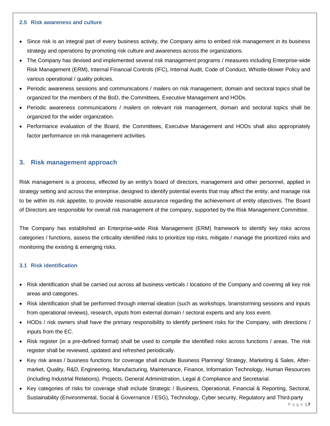#### <span id="page-6-0"></span>**2.5 Risk awareness and culture**

- Since risk is an integral part of every business activity, the Company aims to embed risk management in its business strategy and operations by promoting risk culture and awareness across the organizations.
- The Company has devised and implemented several risk management programs / measures including Enterprise-wide Risk Management (ERM), Internal Financial Controls (IFC), Internal Audit, Code of Conduct, Whistle-blower Policy and various operational / quality policies.
- Periodic awareness sessions and communications / mailers on risk management, domain and sectoral topics shall be organized for the members of the BoD, the Committees, Executive Management and HODs.
- Periodic awareness communications / mailers on relevant risk management, domain and sectoral topics shall be organized for the wider organization.
- Performance evaluation of the Board, the Committees, Executive Management and HODs shall also appropriately factor performance on risk management activities.

## <span id="page-6-1"></span>**3. Risk management approach**

Risk management is a process, effected by an entity's board of directors, management and other personnel, applied in strategy setting and across the enterprise, designed to identify potential events that may affect the entity, and manage risk to be within its risk appetite, to provide reasonable assurance regarding the achievement of entity objectives. The Board of Directors are responsible for overall risk management of the company, supported by the Risk Management Committee.

The Company has established an Enterprise-wide Risk Management (ERM) framework to identify key risks across categories / functions, assess the criticality identified risks to prioritize top risks, mitigate / manage the prioritized risks and monitoring the existing & emerging risks.

## <span id="page-6-2"></span>**3.1 Risk identification**

- Risk identification shall be carried out across all business verticals / locations of the Company and covering all key risk areas and categories.
- Risk identification shall be performed through internal ideation (such as workshops, brainstorming sessions and inputs from operational reviews), research, inputs from external domain / sectoral experts and any loss event.
- HODs / risk owners shall have the primary responsibility to identify pertinent risks for the Company, with directions / inputs from the EC.
- Risk register (in a pre-defined format) shall be used to compile the identified risks across functions / areas. The risk register shall be reviewed, updated and refreshed periodically.
- Key risk areas / business functions for coverage shall include Business Planning/ Strategy, Marketing & Sales, Aftermarket, Quality, R&D, Engineering, Manufacturing, Maintenance, Finance, Information Technology, Human Resources (including Industrial Relations), Projects, General Administration, Legal & Compliance and Secretarial.
- Key categories of risks for coverage shall include Strategic / Business, Operational, Financial & Reporting, Sectoral, Sustainability (Environmental, Social & Governance / ESG), Technology, Cyber security, Regulatory and Third-party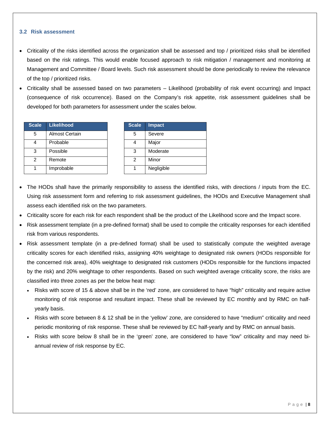#### <span id="page-7-0"></span>**3.2 Risk assessment**

- Criticality of the risks identified across the organization shall be assessed and top / prioritized risks shall be identified based on the risk ratings. This would enable focused approach to risk mitigation / management and monitoring at Management and Committee / Board levels. Such risk assessment should be done periodically to review the relevance of the top / prioritized risks.
- Criticality shall be assessed based on two parameters Likelihood (probability of risk event occurring) and Impact (consequence of risk occurrence). Based on the Company's risk appetite, risk assessment guidelines shall be developed for both parameters for assessment under the scales below.

| <b>Scale</b>  | <b>Likelihood</b> | <b>Scale</b> | <b>Impact</b> |
|---------------|-------------------|--------------|---------------|
| 5             | Almost Certain    | 5            | Severe        |
| 4             | Probable          |              | Major         |
| 3             | Possible          | 3            | Moderate      |
| $\mathcal{P}$ | Remote            | 2            | Minor         |
|               | Improbable        |              | Negligible    |

| <b>Scale</b> | <b>Impact</b> |
|--------------|---------------|
| 5            | Severe        |
|              | Major         |
| 3            | Moderate      |
| 2            | Minor         |
|              | Negligible    |

- The HODs shall have the primarily responsibility to assess the identified risks, with directions / inputs from the EC. Using risk assessment form and referring to risk assessment guidelines, the HODs and Executive Management shall assess each identified risk on the two parameters.
- Criticality score for each risk for each respondent shall be the product of the Likelihood score and the Impact score.
- Risk assessment template (in a pre-defined format) shall be used to compile the criticality responses for each identified risk from various respondents.
- Risk assessment template (in a pre-defined format) shall be used to statistically compute the weighted average criticality scores for each identified risks, assigning 40% weightage to designated risk owners (HODs responsible for the concerned risk area), 40% weightage to designated risk customers (HODs responsible for the functions impacted by the risk) and 20% weightage to other respondents. Based on such weighted average criticality score, the risks are classified into three zones as per the below heat map:
	- Risks with score of 15 & above shall be in the 'red' zone, are considered to have "high" criticality and require active monitoring of risk response and resultant impact. These shall be reviewed by EC monthly and by RMC on halfyearly basis.
	- Risks with score between 8 & 12 shall be in the 'yellow' zone, are considered to have "medium" criticality and need periodic monitoring of risk response. These shall be reviewed by EC half-yearly and by RMC on annual basis.
	- Risks with score below 8 shall be in the 'green' zone, are considered to have "low" criticality and may need biannual review of risk response by EC.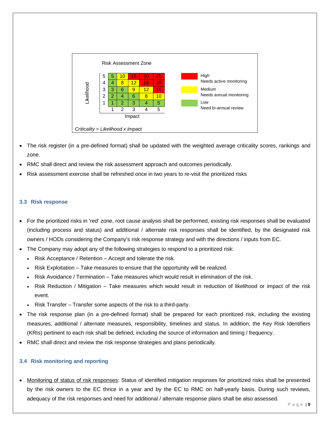

- The risk register (in a pre-defined format) shall be updated with the weighted average criticality scores, rankings and zone.
- RMC shall direct and review the risk assessment approach and outcomes periodically.
- Risk assessment exercise shall be refreshed once in two years to re-visit the prioritized risks

## <span id="page-8-0"></span>**3.3 Risk response**

- For the prioritized risks in 'red' zone, root cause analysis shall be performed, existing risk responses shall be evaluated (including process and status) and additional / alternate risk responses shall be identified, by the designated risk owners / HODs considering the Company's risk response strategy and with the directions / inputs from EC.
- The Company may adopt any of the following strategies to respond to a prioritized risk:
	- Risk Acceptance / Retention Accept and tolerate the risk.
	- Risk Exploitation Take measures to ensure that the opportunity will be realized.
	- Risk Avoidance / Termination Take measures which would result in elimination of the risk.
	- Risk Reduction / Mitigation Take measures which would result in reduction of likelihood or impact of the risk event.
	- Risk Transfer Transfer some aspects of the risk to a third-party.
- The risk response plan (in a pre-defined format) shall be prepared for each prioritized risk, including the existing measures, additional / alternate measures, responsibility, timelines and status. In addition, the Key Risk Identifiers (KRIs) pertinent to each risk shall be defined, including the source of information and timing / frequency.
- RMC shall direct and review the risk response strategies and plans periodically.

## <span id="page-8-1"></span>**3.4 Risk monitoring and reporting**

 Monitoring of status of risk responses: Status of identified mitigation responses for prioritized risks shall be presented by the risk owners to the EC thrice in a year and by the EC to RMC on half-yearly basis. During such reviews, adequacy of the risk responses and need for additional / alternate response plans shall be also assessed.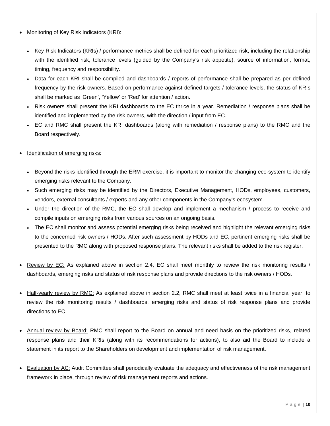## Monitoring of Key Risk Indicators (KRI):

- Key Risk Indicators (KRIs) / performance metrics shall be defined for each prioritized risk, including the relationship with the identified risk, tolerance levels (guided by the Company's risk appetite), source of information, format, timing, frequency and responsibility.
- Data for each KRI shall be compiled and dashboards / reports of performance shall be prepared as per defined frequency by the risk owners. Based on performance against defined targets / tolerance levels, the status of KRIs shall be marked as 'Green', 'Yellow' or 'Red' for attention / action.
- Risk owners shall present the KRI dashboards to the EC thrice in a year. Remediation / response plans shall be identified and implemented by the risk owners, with the direction / input from EC.
- EC and RMC shall present the KRI dashboards (along with remediation / response plans) to the RMC and the Board respectively.
- Identification of emerging risks:
	- Beyond the risks identified through the ERM exercise, it is important to monitor the changing eco-system to identify emerging risks relevant to the Company.
	- Such emerging risks may be identified by the Directors, Executive Management, HODs, employees, customers, vendors, external consultants / experts and any other components in the Company's ecosystem.
	- Under the direction of the RMC, the EC shall develop and implement a mechanism / process to receive and compile inputs on emerging risks from various sources on an ongoing basis.
	- The EC shall monitor and assess potential emerging risks being received and highlight the relevant emerging risks to the concerned risk owners / HODs. After such assessment by HODs and EC, pertinent emerging risks shall be presented to the RMC along with proposed response plans. The relevant risks shall be added to the risk register.
- Review by EC: As explained above in section 2.4, EC shall meet monthly to review the risk monitoring results / dashboards, emerging risks and status of risk response plans and provide directions to the risk owners / HODs.
- Half-yearly review by RMC: As explained above in section 2.2, RMC shall meet at least twice in a financial year, to review the risk monitoring results / dashboards, emerging risks and status of risk response plans and provide directions to EC.
- Annual review by Board: RMC shall report to the Board on annual and need basis on the prioritized risks, related response plans and their KRIs (along with its recommendations for actions), to also aid the Board to include a statement in its report to the Shareholders on development and implementation of risk management.
- Evaluation by AC: Audit Committee shall periodically evaluate the adequacy and effectiveness of the risk management framework in place, through review of risk management reports and actions.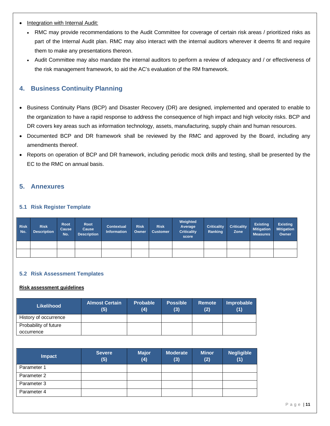- Integration with Internal Audit:
	- RMC may provide recommendations to the Audit Committee for coverage of certain risk areas / prioritized risks as part of the Internal Audit plan. RMC may also interact with the internal auditors wherever it deems fit and require them to make any presentations thereon.
	- Audit Committee may also mandate the internal auditors to perform a review of adequacy and / or effectiveness of the risk management framework, to aid the AC's evaluation of the RM framework.

## <span id="page-10-0"></span>**4. Business Continuity Planning**

- Business Continuity Plans (BCP) and Disaster Recovery (DR) are designed, implemented and operated to enable to the organization to have a rapid response to address the consequence of high impact and high velocity risks. BCP and DR covers key areas such as information technology, assets, manufacturing, supply chain and human resources.
- Documented BCP and DR framework shall be reviewed by the RMC and approved by the Board, including any amendments thereof.
- Reports on operation of BCP and DR framework, including periodic mock drills and testing, shall be presented by the EC to the RMC on annual basis.

## <span id="page-10-1"></span>**5. Annexures**

## <span id="page-10-2"></span>**5.1 Risk Register Template**

| <b>Risk</b><br>No. | <b>Risk</b><br><b>Description</b> | Root<br>Cause<br>No. | Root<br>Cause<br><b>Description</b> | <b>Contextual</b><br><b>Information</b> | <b>Risk</b><br>Owner | <b>Risk</b><br><b>Customer</b> | Weighted<br>Average<br><b>Criticality</b><br>score | <b>Criticality</b><br>Ranking | <b>Criticality</b><br>Zone | <b>Existing</b><br><b>Mitigation</b><br><b>Measures</b> | <b>Existing</b><br><b>Mitigation</b><br>Owner |
|--------------------|-----------------------------------|----------------------|-------------------------------------|-----------------------------------------|----------------------|--------------------------------|----------------------------------------------------|-------------------------------|----------------------------|---------------------------------------------------------|-----------------------------------------------|
|                    |                                   |                      |                                     |                                         |                      |                                |                                                    |                               |                            |                                                         |                                               |
|                    |                                   |                      |                                     |                                         |                      |                                |                                                    |                               |                            |                                                         |                                               |

## <span id="page-10-3"></span>**5.2 Risk Assessment Templates**

## **Risk assessment guidelines**

| <b>Likelihood</b>                   | <b>Almost Certain</b><br>(5) | <b>Probable</b><br>(4) | <b>Possible</b><br>(3) | <b>Remote</b><br>(2) | Improbable<br>(1) |
|-------------------------------------|------------------------------|------------------------|------------------------|----------------------|-------------------|
| History of occurrence               |                              |                        |                        |                      |                   |
| Probability of future<br>occurrence |                              |                        |                        |                      |                   |

| <b>Impact</b> | <b>Severe</b><br>(5) | <b>Major</b><br>(4) | <b>Moderate</b><br>(3) | <b>Minor</b><br>(2) | <b>Negligible</b><br>(1) |
|---------------|----------------------|---------------------|------------------------|---------------------|--------------------------|
| Parameter 1   |                      |                     |                        |                     |                          |
| Parameter 2   |                      |                     |                        |                     |                          |
| Parameter 3   |                      |                     |                        |                     |                          |
| Parameter 4   |                      |                     |                        |                     |                          |